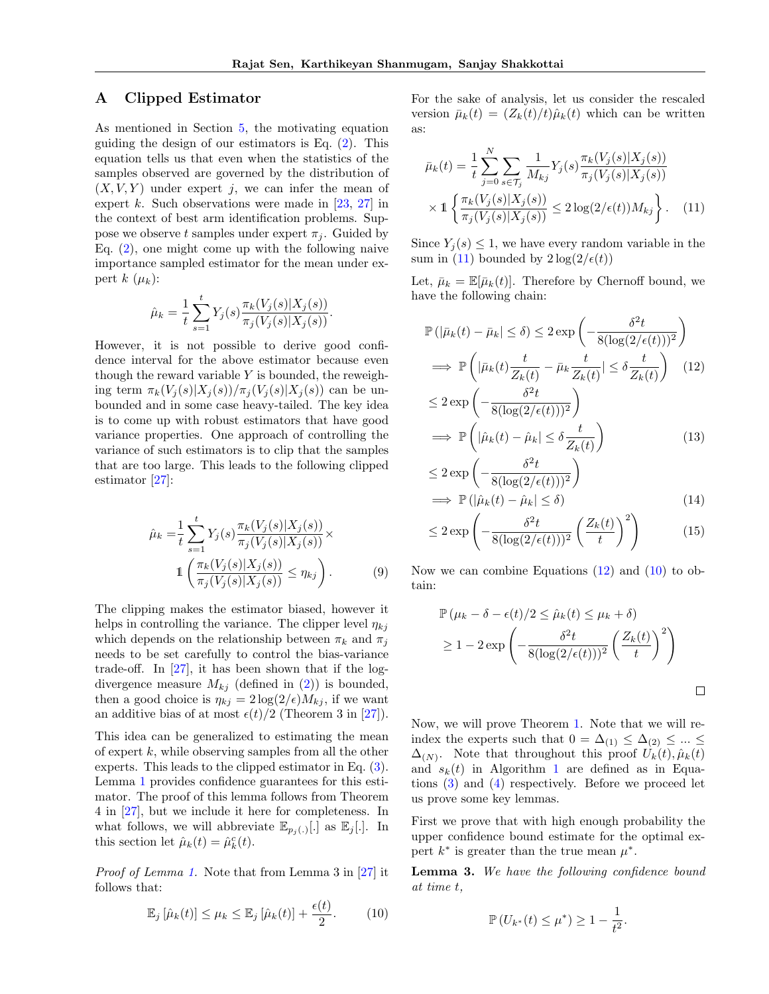## A Clipped Estimator

As mentioned in Section 5, the motivating equation guiding the design of our estimators is Eq.  $(2)$ . This equation tells us that even when the statistics of the samples observed are governed by the distribution of  $(X, V, Y)$  under expert *j*, we can infer the mean of expert *k*. Such observations were made in [23, 27] in the context of best arm identification problems. Suppose we observe *t* samples under expert  $\pi_i$ . Guided by Eq. (2), one might come up with the following naive importance sampled estimator for the mean under expert  $k$  ( $\mu_k$ ):

$$
\hat{\mu}_k = \frac{1}{t} \sum_{s=1}^t Y_j(s) \frac{\pi_k(V_j(s)|X_j(s))}{\pi_j(V_j(s)|X_j(s))}.
$$

However, it is not possible to derive good confidence interval for the above estimator because even though the reward variable *Y* is bounded, the reweighing term  $\pi_k(V_i(s)|X_i(s))/\pi_i(V_i(s)|X_i(s))$  can be unbounded and in some case heavy-tailed. The key idea is to come up with robust estimators that have good variance properties. One approach of controlling the variance of such estimators is to clip that the samples that are too large. This leads to the following clipped estimator [27]:

$$
\hat{\mu}_k = \frac{1}{t} \sum_{s=1}^t Y_j(s) \frac{\pi_k(V_j(s)|X_j(s))}{\pi_j(V_j(s)|X_j(s))} \times
$$
  

$$
\mathbb{1} \left( \frac{\pi_k(V_j(s)|X_j(s))}{\pi_j(V_j(s)|X_j(s))} \le \eta_{kj} \right).
$$
 (9)

The clipping makes the estimator biased, however it helps in controlling the variance. The clipper level  $\eta_{ki}$ which depends on the relationship between  $\pi_k$  and  $\pi_j$ needs to be set carefully to control the bias-variance trade-off. In  $[27]$ , it has been shown that if the logdivergence measure  $M_{ki}$  (defined in (2)) is bounded, then a good choice is  $\eta_{kj} = 2 \log(2/\epsilon) M_{kj}$ , if we want an additive bias of at most  $\epsilon(t)/2$  (Theorem 3 in [27]).

This idea can be generalized to estimating the mean of expert *k*, while observing samples from all the other experts. This leads to the clipped estimator in Eq. (3). Lemma 1 provides confidence guarantees for this estimator. The proof of this lemma follows from Theorem 4 in [27], but we include it here for completeness. In what follows, we will abbreviate  $\mathbb{E}_{p_j(.)}$ . In this section let  $\hat{\mu}_k(t) = \hat{\mu}_k^c(t)$ .

*Proof of Lemma 1.* Note that from Lemma 3 in [27] it follows that:

$$
\mathbb{E}_j\left[\hat{\mu}_k(t)\right] \leq \mu_k \leq \mathbb{E}_j\left[\hat{\mu}_k(t)\right] + \frac{\epsilon(t)}{2}.\tag{10}
$$

For the sake of analysis, let us consider the rescaled version  $\bar{\mu}_k(t)=(Z_k(t)/t)\hat{\mu}_k(t)$  which can be written as:

$$
\bar{\mu}_k(t) = \frac{1}{t} \sum_{j=0}^N \sum_{s \in \mathcal{T}_j} \frac{1}{M_{kj}} Y_j(s) \frac{\pi_k(V_j(s)|X_j(s))}{\pi_j(V_j(s)|X_j(s))} \times 1 \left\{ \frac{\pi_k(V_j(s)|X_j(s))}{\pi_j(V_j(s)|X_j(s))} \le 2 \log(2/\epsilon(t)) M_{kj} \right\}.
$$
 (11)

Since  $Y_i(s) \leq 1$ , we have every random variable in the sum in (11) bounded by  $2\log(2/\epsilon(t))$ 

Let,  $\bar{\mu}_k = \mathbb{E}[\bar{\mu}_k(t)]$ . Therefore by Chernoff bound, we have the following chain:

$$
\mathbb{P}\left(|\bar{\mu}_k(t) - \bar{\mu}_k| \le \delta\right) \le 2 \exp\left(-\frac{\delta^2 t}{8(\log(2/\epsilon(t)))^2}\right)
$$
  
\n
$$
\implies \mathbb{P}\left(|\bar{\mu}_k(t)\frac{t}{Z_k(t)} - \bar{\mu}_k \frac{t}{Z_k(t)}| \le \delta \frac{t}{Z_k(t)}\right) \quad (12)
$$
  
\n
$$
\le 2 \exp\left(-\frac{\delta^2 t}{8(\log(2/\epsilon(t)))^2}\right)
$$

$$
\implies \mathbb{P}\left(|\hat{\mu}_k(t) - \hat{\mu}_k| \le \delta \frac{t}{Z_k(t)}\right) \tag{13}
$$

$$
\leq 2 \exp\left(-\frac{\delta^2 t}{8(\log(2/\epsilon(t)))^2}\right)
$$
  
\n
$$
\implies \mathbb{P}\left(|\hat{\mu}_k(t) - \hat{\mu}_k| \leq \delta\right)
$$
\n(14)

$$
\leq 2 \exp\left(-\frac{\delta^2 t}{8(\log(2/\epsilon(t)))^2} \left(\frac{Z_k(t)}{t}\right)^2\right) \tag{15}
$$

Now we can combine Equations  $(12)$  and  $(10)$  to obtain:

$$
\mathbb{P}(\mu_k - \delta - \epsilon(t)/2 \le \hat{\mu}_k(t) \le \mu_k + \delta)
$$
  
\n
$$
\ge 1 - 2 \exp\left(-\frac{\delta^2 t}{8(\log(2/\epsilon(t)))^2} \left(\frac{Z_k(t)}{t}\right)^2\right)
$$

 $\Box$ 

Now, we will prove Theorem 1. Note that we will reindex the experts such that  $0 = \Delta_{(1)} \leq \Delta_{(2)} \leq ... \leq$  $\Delta$ <sub>(N)</sub>. Note that throughout this proof  $U_k(t)$ ,  $\hat{\mu}_k(t)$ and  $s_k(t)$  in Algorithm 1 are defined as in Equations (3) and (4) respectively. Before we proceed let us prove some key lemmas.

First we prove that with high enough probability the upper confidence bound estimate for the optimal expert  $k^*$  is greater than the true mean  $\mu^*$ .

Lemma 3. *We have the following confidence bound at time t,*

$$
\mathbb{P}\left(U_{k^*}(t) \leq \mu^*\right) \geq 1 - \frac{1}{t^2}.
$$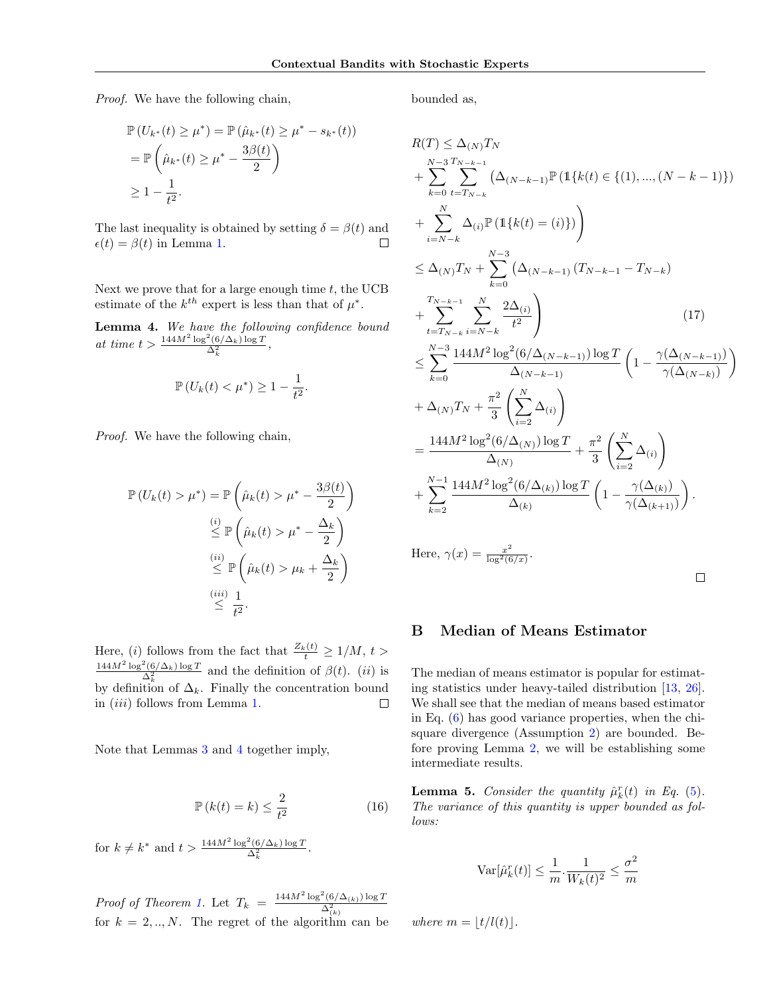*Proof.* We have the following chain,

$$
\mathbb{P}(U_{k^*}(t) \ge \mu^*) = \mathbb{P}(\hat{\mu}_{k^*}(t) \ge \mu^* - s_{k^*}(t))
$$
  
=  $\mathbb{P}\left(\hat{\mu}_{k^*}(t) \ge \mu^* - \frac{3\beta(t)}{2}\right)$   
 $\ge 1 - \frac{1}{t^2}.$ 

The last inequality is obtained by setting  $\delta = \beta(t)$  and  $\epsilon(t) = \beta(t)$  in Lemma 1.  $\Box$ 

Next we prove that for a large enough time *t*, the UCB estimate of the  $k^{th}$  expert is less than that of  $\mu^*$ .

Lemma 4. *We have the following confidence bound*  $at \ time \ t > \frac{144M^2 \log^2(6/\Delta_k) \log T}{\Delta_k^2},$ 

$$
\mathbb{P}\left(U_k(t)<\mu^*\right)\geq 1-\frac{1}{t^2}.
$$

*Proof.* We have the following chain,

$$
\mathbb{P}\left(U_k(t) > \mu^*\right) = \mathbb{P}\left(\hat{\mu}_k(t) > \mu^* - \frac{3\beta(t)}{2}\right)
$$

$$
\stackrel{(i)}{\leq} \mathbb{P}\left(\hat{\mu}_k(t) > \mu^* - \frac{\Delta_k}{2}\right)
$$

$$
\stackrel{(ii)}{\leq} \mathbb{P}\left(\hat{\mu}_k(t) > \mu_k + \frac{\Delta_k}{2}\right)
$$

$$
\stackrel{(iii)}{\leq} \frac{1}{t^2}.
$$

Here, (*i*) follows from the fact that  $\frac{Z_k(t)}{t} \ge 1/M$ ,  $t > \frac{144M^2 \log^2(6/\Delta_k) \log T}{\Delta_k^2}$  and the definition of  $\beta(t)$ . (*ii*) is by definition of  $\Delta_k$ . Finally the concentration bound in (*iii*) follows from Lemma 1.  $\Box$ 

Note that Lemmas 3 and 4 together imply,

$$
\mathbb{P}\left(k(t) = k\right) \le \frac{2}{t^2} \tag{16}
$$

for  $k \neq k^*$  and  $t > \frac{144M^2 \log^2(6/\Delta_k) \log T}{\Delta_k^2}$ .

*Proof of Theorem 1.* Let  $T_k = \frac{144M^2 \log^2(6/\Delta_{(k)}) \log T}{\Delta_{(k)}^2}$ for  $k = 2, ..., N$ . The regret of the algorithm can be bounded as,

$$
R(T) \leq \Delta_{(N)} T_N
$$
  
+ 
$$
\sum_{k=0}^{N-3} \sum_{t=T_{N-k}}^{T_{N-k-1}} (\Delta_{(N-k-1)} \mathbb{P} (\mathbb{1} \{k(t) \in \{ (1), ..., (N-k-1) \})
$$
  
+ 
$$
\sum_{i=N-k}^{N} \Delta_{(i)} \mathbb{P} (\mathbb{1} \{k(t) = (i) \})
$$
  

$$
\leq \Delta_{(N)} T_N + \sum_{k=0}^{N-3} (\Delta_{(N-k-1)} (T_{N-k-1} - T_{N-k})
$$
  
+ 
$$
\sum_{t=T_{N-k}}^{T_{N-k-1}} \sum_{i=N-k}^{N} \frac{2\Delta_{(i)}}{t^2}
$$
  
+ 
$$
\sum_{k=0}^{N-3} \frac{144M^2 \log^2(6/\Delta_{(N-k-1)}) \log T}{\Delta_{(N-k-1)}} \left(1 - \frac{\gamma(\Delta_{(N-k-1)})}{\gamma(\Delta_{(N-k)})}\right)
$$
  
+ 
$$
\Delta_{(N)} T_N + \frac{\pi^2}{3} \left(\sum_{i=2}^{N} \Delta_{(i)}\right)
$$
  
= 
$$
\frac{144M^2 \log^2(6/\Delta_{(N)}) \log T}{\Delta_{(N)}} + \frac{\pi^2}{3} \left(\sum_{i=2}^{N} \Delta_{(i)}\right)
$$
  
+ 
$$
\sum_{k=2}^{N-1} \frac{144M^2 \log^2(6/\Delta_{(k)}) \log T}{\Delta_{(k)}} \left(1 - \frac{\gamma(\Delta_{(k)})}{\gamma(\Delta_{(k+1)})}\right).
$$
  
Here, 
$$
\gamma(x) = \frac{x^2}{\log^2(6/x)}.
$$

## B Median of Means Estimator

The median of means estimator is popular for estimating statistics under heavy-tailed distribution [13, 26]. We shall see that the median of means based estimator in Eq. (6) has good variance properties, when the chisquare divergence (Assumption 2) are bounded. Before proving Lemma 2, we will be establishing some intermediate results.

**Lemma 5.** *Consider the quantity*  $\hat{\mu}_k^r(t)$  *in Eq.* (5). *The variance of this quantity is upper bounded as follows:*

$$
\text{Var}[\hat{\mu}_k^r(t)] \le \frac{1}{m} \cdot \frac{1}{W_k(t)^2} \le \frac{\sigma^2}{m}
$$

*where*  $m = |t/l(t)|$ .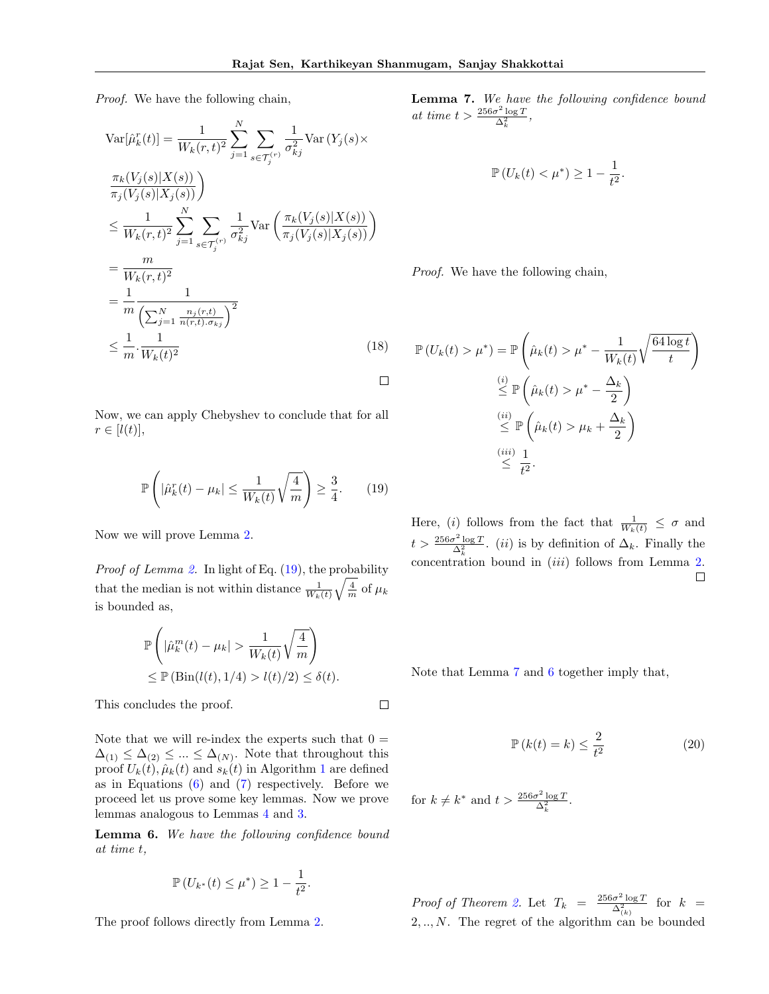*Proof.* We have the following chain,

$$
\operatorname{Var}[\hat{\mu}_k^r(t)] = \frac{1}{W_k(r,t)^2} \sum_{j=1}^N \sum_{s \in \mathcal{T}_j^{(r)}} \frac{1}{\sigma_{kj}^2} \operatorname{Var}(Y_j(s) \times \frac{\pi_k(V_j(s)|X(s))}{\pi_j(V_j(s)|X_j(s))})
$$
  
\n
$$
\leq \frac{1}{W_k(r,t)^2} \sum_{j=1}^N \sum_{s \in \mathcal{T}_j^{(r)}} \frac{1}{\sigma_{kj}^2} \operatorname{Var}\left(\frac{\pi_k(V_j(s)|X(s))}{\pi_j(V_j(s)|X_j(s))}\right)
$$
  
\n
$$
= \frac{m}{W_k(r,t)^2}
$$
  
\n
$$
= \frac{1}{m} \frac{1}{\left(\sum_{j=1}^N \frac{n_j(r,t)}{n(r,t),\sigma_{kj}}\right)^2}
$$
  
\n
$$
\leq \frac{1}{m} \cdot \frac{1}{W_k(t)^2}
$$
 (18)

Now, we can apply Chebyshev to conclude that for all  $r \in [l(t)],$ 

$$
\mathbb{P}\left(|\hat{\mu}_k^r(t) - \mu_k| \le \frac{1}{W_k(t)}\sqrt{\frac{4}{m}}\right) \ge \frac{3}{4}.\tag{19}
$$

Now we will prove Lemma 2.

*Proof of Lemma 2.* In light of Eq. (19), the probability that the median is not within distance  $\frac{1}{W_k(t)}\sqrt{\frac{4}{m}}$  of  $\mu_k$ is bounded as,

$$
\mathbb{P}\left(|\hat{\mu}_k^m(t) - \mu_k| > \frac{1}{W_k(t)}\sqrt{\frac{4}{m}}\right) \le \mathbb{P}\left(\text{Bin}(l(t), 1/4) > l(t)/2\right) \le \delta(t).
$$

This concludes the proof.

Note that we will re-index the experts such that  $0 =$  $\Delta_{(1)} \leq \Delta_{(2)} \leq ... \leq \Delta_{(N)}$ . Note that throughout this proof  $U_k(t)$ ,  $\hat{\mu}_k(t)$  and  $s_k(t)$  in Algorithm 1 are defined as in Equations  $(6)$  and  $(7)$  respectively. Before we proceed let us prove some key lemmas. Now we prove lemmas analogous to Lemmas 4 and 3.

Lemma 6. *We have the following confidence bound at time t,*

$$
\mathbb{P}(U_{k^*}(t) \le \mu^*) \ge 1 - \frac{1}{t^2}.
$$

The proof follows directly from Lemma 2.

Lemma 7. *We have the following confidence bound*  $at \ time \ t > \frac{256\sigma^2 \log T}{\Delta_k^2},$ 

$$
\mathbb{P}\left(U_k(t)<\mu^*\right)\geq 1-\frac{1}{t^2}.
$$

*Proof.* We have the following chain,

$$
\mathbb{P}\left(U_k(t) > \mu^*\right) = \mathbb{P}\left(\hat{\mu}_k(t) > \mu^* - \frac{1}{W_k(t)}\sqrt{\frac{64\log t}{t}}\right)
$$

$$
\leq \mathbb{P}\left(\hat{\mu}_k(t) > \mu^* - \frac{\Delta_k}{2}\right)
$$

$$
\leq \mathbb{P}\left(\hat{\mu}_k(t) > \mu_k + \frac{\Delta_k}{2}\right)
$$

$$
\leq \frac{(ii)}{t^2}.
$$

Here, (*i*) follows from the fact that  $\frac{1}{W_k(t)} \leq \sigma$  and  $t > \frac{256\sigma^2 \log T}{\Delta_k^2}$ . *(ii)* is by definition of  $\Delta_k$ . Finally the concentration bound in (*iii*) follows from Lemma 2.  $\Box$ 

Note that Lemma 7 and 6 together imply that,

$$
\mathbb{P}\left(k(t) = k\right) \le \frac{2}{t^2} \tag{20}
$$

for  $k \neq k^*$  and  $t > \frac{256\sigma^2 \log T}{\Delta_k^2}$ .

*Proof of Theorem 2.* Let  $T_k = \frac{256\sigma^2 \log T}{\Delta_{(k)}^2}$  for  $k =$ 2*, .., N*. The regret of the algorithm can be bounded

 $\Box$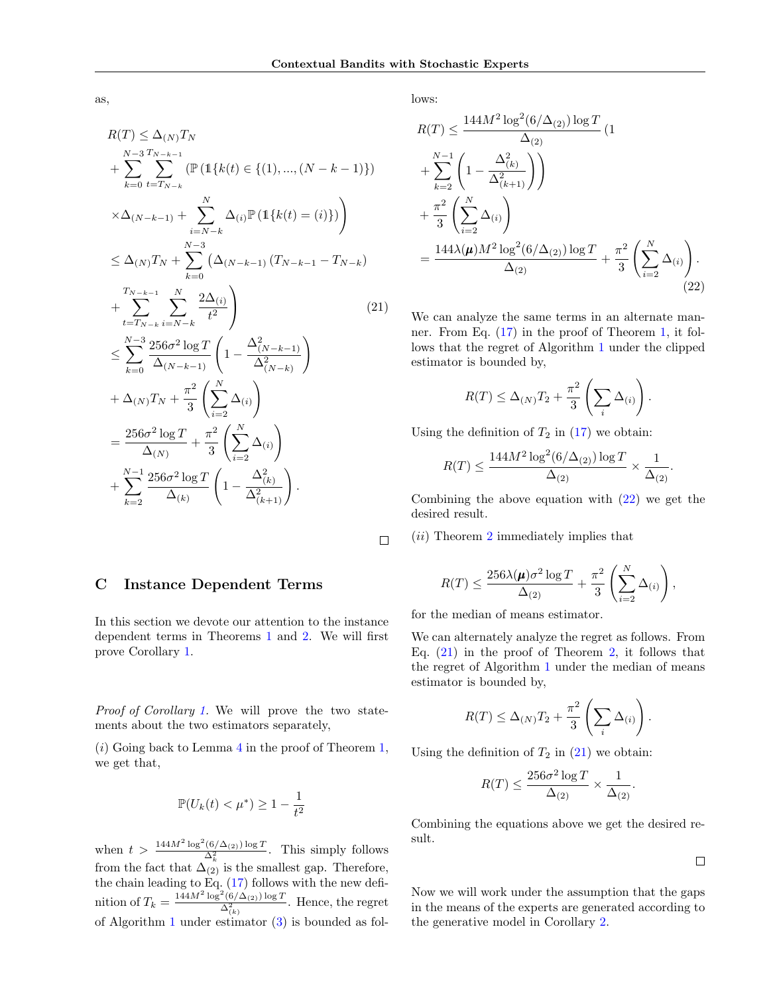$\Box$ 

as,

$$
R(T) \leq \Delta_{(N)} T_N
$$
  
+  $\sum_{k=0}^{N-3} \sum_{t=T_{N-k}}^{T_{N-k-1}} (\mathbb{P} (1\{k(t) \in \{(1), ..., (N-k-1)\})$   
+  $\sum_{i=N-k}^{N} \Delta_{(i)} \mathbb{P} (1\{k(t) = (i)\})$   
 $\leq \Delta_{(N)} T_N + \sum_{k=0}^{N-3} (\Delta_{(N-k-1)} (T_{N-k-1} - T_{N-k})$   
+  $\sum_{t=T_{N-k}}^{T_{N-k-1}} \sum_{i=N-k}^{N} \frac{2\Delta_{(i)}}{t^2}$  (21)  
 $\leq \sum_{k=0}^{N-3} \frac{256\sigma^2 \log T}{\Delta_{(N-k-1)}} \left(1 - \frac{\Delta_{(N-k-1)}^2}{\Delta_{(N-k)}^2}\right)$   
+  $\Delta_{(N)} T_N + \frac{\pi^2}{3} \left(\sum_{i=2}^{N} \Delta_{(i)}\right)$   
=  $\frac{256\sigma^2 \log T}{\Delta_{(N)}} + \frac{\pi^2}{3} \left(\sum_{i=2}^{N} \Delta_{(i)}\right)$   
+  $\sum_{k=2}^{N-1} \frac{256\sigma^2 \log T}{\Delta_{(k)}} \left(1 - \frac{\Delta_{(k)}^2}{\Delta_{(k+1)}^2}\right).$ 

lows:

$$
R(T) \le \frac{144M^2 \log^2(6/\Delta_{(2)}) \log T}{\Delta_{(2)}} (1 + \sum_{k=2}^{N-1} \left(1 - \frac{\Delta_{(k)}^2}{\Delta_{(k+1)}^2}\right)) + \frac{\pi^2}{3} \left(\sum_{i=2}^N \Delta_{(i)}\right) + \frac{144\lambda(\mu)M^2 \log^2(6/\Delta_{(2)}) \log T}{\Delta_{(2)}} + \frac{\pi^2}{3} \left(\sum_{i=2}^N \Delta_{(i)}\right).
$$
\n(22)

We can analyze the same terms in an alternate manner. From Eq. (17) in the proof of Theorem 1, it follows that the regret of Algorithm 1 under the clipped estimator is bounded by,

$$
R(T) \leq \Delta_{(N)} T_2 + \frac{\pi^2}{3} \left( \sum_i \Delta_{(i)} \right).
$$

Using the definition of  $T_2$  in  $(17)$  we obtain:

$$
R(T) \leq \frac{144 M^2 \log^2(6/\Delta_{(2)})\log T}{\Delta_{(2)}} \times \frac{1}{\Delta_{(2)}}.
$$

Combining the above equation with (22) we get the desired result.

(*ii*) Theorem 2 immediately implies that

$$
R(T) \le \frac{256\lambda(\mu)\sigma^2\log T}{\Delta_{(2)}} + \frac{\pi^2}{3}\left(\sum_{i=2}^N \Delta_{(i)}\right),
$$

for the median of means estimator.

We can alternately analyze the regret as follows. From Eq.  $(21)$  in the proof of Theorem 2, it follows that the regret of Algorithm 1 under the median of means estimator is bounded by,

$$
R(T) \leq \Delta_{(N)} T_2 + \frac{\pi^2}{3} \left( \sum_i \Delta_{(i)} \right).
$$

Using the definition of  $T_2$  in  $(21)$  we obtain:

$$
R(T) \le \frac{256\sigma^2 \log T}{\Delta_{(2)}} \times \frac{1}{\Delta_{(2)}}.
$$

Combining the equations above we get the desired result.

 $\Box$ 

Now we will work under the assumption that the gaps in the means of the experts are generated according to the generative model in Corollary 2.

## C Instance Dependent Terms

In this section we devote our attention to the instance dependent terms in Theorems 1 and 2. We will first prove Corollary 1.

*Proof of Corollary 1.* We will prove the two statements about the two estimators separately,

(*i*) Going back to Lemma 4 in the proof of Theorem 1, we get that,

$$
\mathbb{P}(U_k(t) < \mu^*) \ge 1 - \frac{1}{t^2}
$$

when  $t > \frac{144M^2 \log^2(6/\Delta_{(2)}) \log T}{\Delta_k^2}$ . This simply follows from the fact that  $\Delta_{(2)}$  is the smallest gap. Therefore, the chain leading to Eq. (17) follows with the new definition of  $T_k = \frac{144M^2 \log^2(6/\Delta_{(2)}) \log T}{\Delta_{(k)}^2}$ . Hence, the regret of Algorithm 1 under estimator (3) is bounded as fol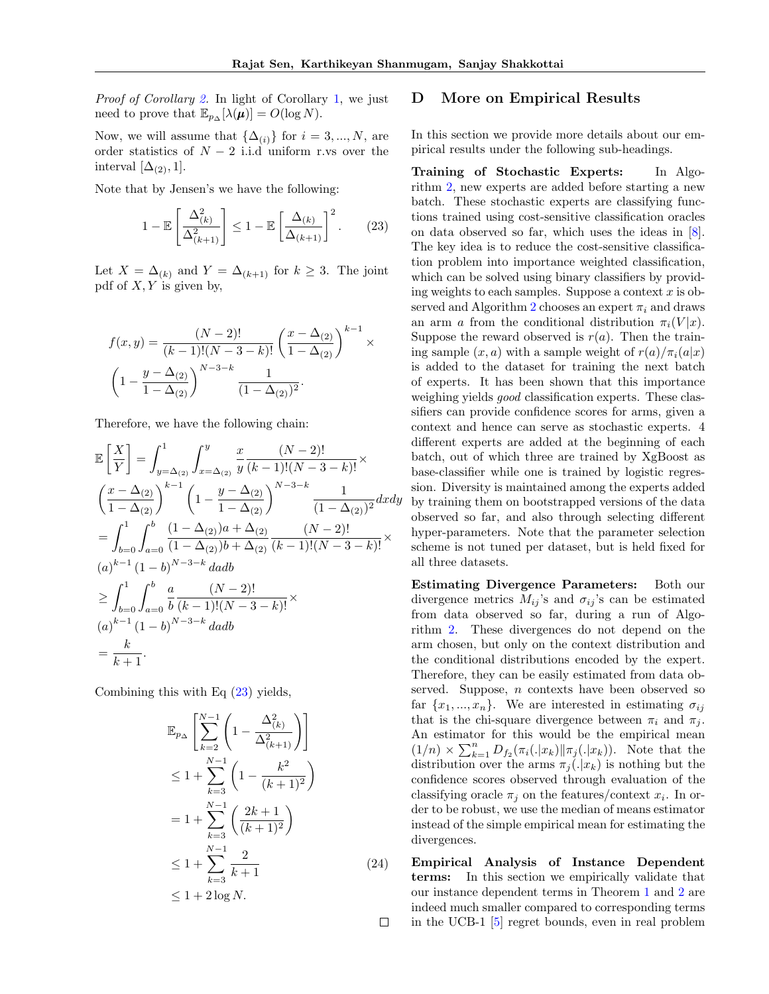*Proof of Corollary 2.* In light of Corollary 1, we just need to prove that  $\mathbb{E}_{p_{\Delta}}[\lambda(\boldsymbol{\mu})] = O(\log N)$ .

Now, we will assume that  $\{\Delta_{(i)}\}$  for  $i = 3, ..., N$ , are order statistics of  $N-2$  i.i.d uniform r.vs over the interval  $[\Delta_{(2)}, 1]$ .

Note that by Jensen's we have the following:

$$
1 - \mathbb{E}\left[\frac{\Delta_{(k)}^2}{\Delta_{(k+1)}^2}\right] \le 1 - \mathbb{E}\left[\frac{\Delta_{(k)}}{\Delta_{(k+1)}}\right]^2.
$$
 (23)

Let  $X = \Delta_{(k)}$  and  $Y = \Delta_{(k+1)}$  for  $k \geq 3$ . The joint pdf of *X, Y* is given by,

$$
f(x,y) = \frac{(N-2)!}{(k-1)!(N-3-k)!} \left(\frac{x-\Delta_{(2)}}{1-\Delta_{(2)}}\right)^{k-1} \times \left(1 - \frac{y-\Delta_{(2)}}{1-\Delta_{(2)}}\right)^{N-3-k} \frac{1}{(1-\Delta_{(2)})^2}.
$$

Therefore, we have the following chain:

$$
\mathbb{E}\left[\frac{X}{Y}\right] = \int_{y=\Delta_{(2)}}^{1} \int_{x=\Delta_{(2)}}^{y} \frac{x}{y} \frac{(N-2)!}{(k-1)!(N-3-k)!} \times \left(\frac{x-\Delta_{(2)}}{1-\Delta_{(2)}}\right)^{k-1} \left(1 - \frac{y-\Delta_{(2)}}{1-\Delta_{(2)}}\right)^{N-3-k} \frac{1}{(1-\Delta_{(2)})^2} dxdy \n= \int_{b=0}^{1} \int_{a=0}^{b} \frac{(1-\Delta_{(2)})a+\Delta_{(2)}}{(1-\Delta_{(2)})b+\Delta_{(2)}} \frac{(N-2)!}{(k-1)!(N-3-k)!} \times \left(a\right)^{k-1} (1-b)^{N-3-k} dadb \n\ge \int_{b=0}^{1} \int_{a=0}^{b} \frac{a}{b} \frac{(N-2)!}{(k-1)!(N-3-k)!} \times \left(a\right)^{k-1} (1-b)^{N-3-k} dadb \n= \frac{k}{k+1}.
$$

Combining this with Eq (23) yields,

$$
\mathbb{E}_{p_{\Delta}} \left[ \sum_{k=2}^{N-1} \left( 1 - \frac{\Delta_{(k)}^2}{\Delta_{(k+1)}^2} \right) \right]
$$
  
\n
$$
\leq 1 + \sum_{k=3}^{N-1} \left( 1 - \frac{k^2}{(k+1)^2} \right)
$$
  
\n
$$
= 1 + \sum_{k=3}^{N-1} \left( \frac{2k+1}{(k+1)^2} \right)
$$
  
\n
$$
\leq 1 + \sum_{k=3}^{N-1} \frac{2}{k+1}
$$
  
\n
$$
\leq 1 + 2 \log N.
$$
 (24)

## D More on Empirical Results

In this section we provide more details about our empirical results under the following sub-headings.

Training of Stochastic Experts: In Algorithm 2, new experts are added before starting a new batch. These stochastic experts are classifying functions trained using cost-sensitive classification oracles on data observed so far, which uses the ideas in [8]. The key idea is to reduce the cost-sensitive classification problem into importance weighted classification, which can be solved using binary classifiers by providing weights to each samples. Suppose a context *x* is observed and Algorithm 2 chooses an expert  $\pi_i$  and draws an arm *a* from the conditional distribution  $\pi_i(V|x)$ . Suppose the reward observed is  $r(a)$ . Then the training sample  $(x, a)$  with a sample weight of  $r(a)/\pi_i(a|x)$ is added to the dataset for training the next batch of experts. It has been shown that this importance weighing yields *good* classification experts. These classifiers can provide confidence scores for arms, given a context and hence can serve as stochastic experts. 4 different experts are added at the beginning of each batch, out of which three are trained by XgBoost as base-classifier while one is trained by logistic regression. Diversity is maintained among the experts added by training them on bootstrapped versions of the data observed so far, and also through selecting different hyper-parameters. Note that the parameter selection scheme is not tuned per dataset, but is held fixed for all three datasets.

Estimating Divergence Parameters: Both our divergence metrics  $M_{ij}$ 's and  $\sigma_{ij}$ 's can be estimated from data observed so far, during a run of Algorithm 2. These divergences do not depend on the arm chosen, but only on the context distribution and the conditional distributions encoded by the expert. Therefore, they can be easily estimated from data observed. Suppose, *n* contexts have been observed so far  $\{x_1, ..., x_n\}$ . We are interested in estimating  $\sigma_{ij}$ that is the chi-square divergence between  $\pi_i$  and  $\pi_j$ . An estimator for this would be the empirical mean  $(1/n) \times \sum_{k=1}^{n} D_{f_2}(\pi_i(.|x_k)||\pi_j(.|x_k)).$  Note that the distribution over the arms  $\pi_i(.|x_k)$  is nothing but the confidence scores observed through evaluation of the classifying oracle  $\pi_i$  on the features/context  $x_i$ . In order to be robust, we use the median of means estimator instead of the simple empirical mean for estimating the divergences.

Empirical Analysis of Instance Dependent terms: In this section we empirically validate that our instance dependent terms in Theorem 1 and 2 are indeed much smaller compared to corresponding terms  $\Box$ in the UCB-1 [5] regret bounds, even in real problem